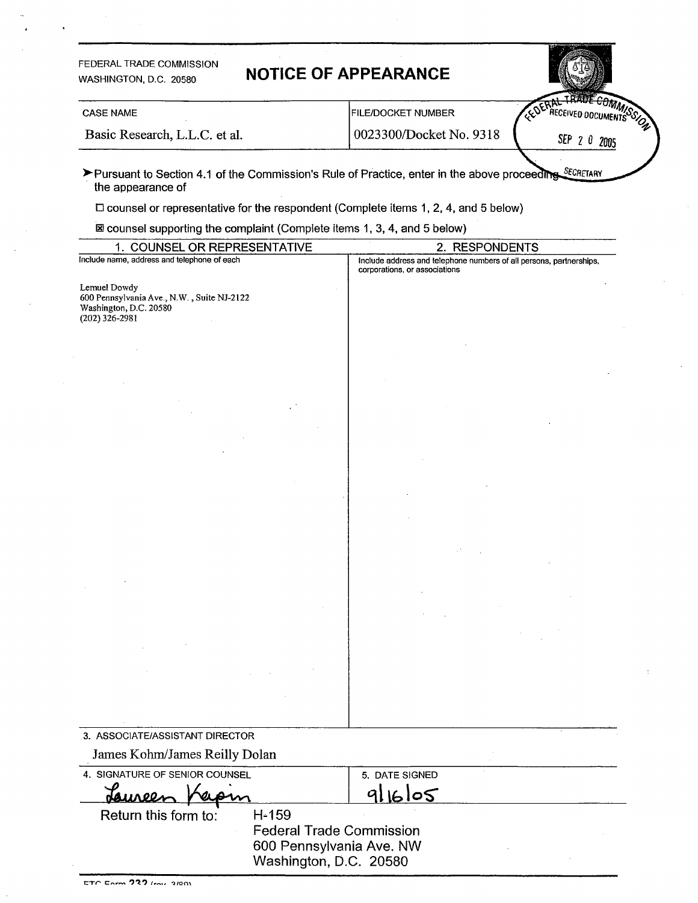| FEDERAL TRADE COMMISSION<br>WASHINGTON, D.C. 20580                                                                                                                                            | <b>NOTICE OF APPEARANCE</b>                                                                             |
|-----------------------------------------------------------------------------------------------------------------------------------------------------------------------------------------------|---------------------------------------------------------------------------------------------------------|
| <b>CASE NAME</b>                                                                                                                                                                              | <b>FILE/DOCKET NUMBER</b>                                                                               |
| Basic Research, L.L.C. et al.                                                                                                                                                                 | 0023300/Docket No. 9318<br>SEP<br>-20                                                                   |
| the appearance of<br>$\square$ counsel or representative for the respondent (Complete items 1, 2, 4, and 5 below)<br>⊠ counsel supporting the complaint (Complete items 1, 3, 4, and 5 below) | > Pursuant to Section 4.1 of the Commission's Rule of Practice, enter in the above proceeding SECRETARY |
| 1. COUNSEL OR REPRESENTATIVE                                                                                                                                                                  | 2. RESPONDENTS                                                                                          |
| Include name, address and telephone of each                                                                                                                                                   | Include address and telephone numbers of all persons, partnerships,<br>corporations, or associations    |
| Lemuel Dowdy<br>600 Pennsylvania Ave., N.W., Suite NJ-2122<br>Washington, D.C. 20580<br>$(202)$ 326-2981                                                                                      |                                                                                                         |
|                                                                                                                                                                                               |                                                                                                         |
|                                                                                                                                                                                               |                                                                                                         |
|                                                                                                                                                                                               |                                                                                                         |
|                                                                                                                                                                                               |                                                                                                         |

| 3. ASSOCIATE/ASSISTANT DIRECTOR |                                 |                |  |
|---------------------------------|---------------------------------|----------------|--|
| James Kohm/James Reilly Dolan   |                                 |                |  |
| 4. SIGNATURE OF SENIOR COUNSEL  |                                 | 5. DATE SIGNED |  |
| Jauree                          |                                 |                |  |
| Return this form to:            | H-159                           |                |  |
|                                 | <b>Federal Trade Commission</b> |                |  |
| 600 Pennsylvania Ave. NW        |                                 |                |  |
|                                 | Washington, D.C. 20580          |                |  |

 $\ddot{\phantom{a}}$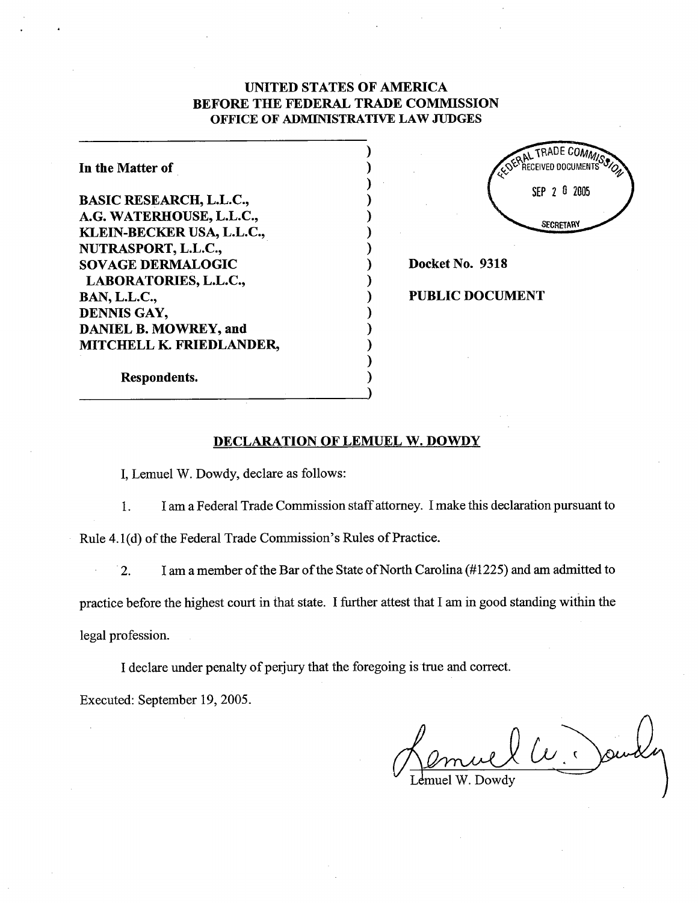# UNITED STATES OF AMRICA BEFORE THE FEDERAL TRADE COMMISSION OFFICE OF ADMINISTRATIVE LAW JUDGES

| In the Matter of               |
|--------------------------------|
| <b>BASIC RESEARCH, L.L.C.,</b> |
| A.G. WATERHOUSE, L.L.C.,       |
| KLEIN-BECKER USA, L.L.C.,      |
| NUTRASPORT, L.L.C.,            |
| <b>SOVAGE DERMALOGIC</b>       |
| LABORATORIES, L.L.C.,          |
| <b>BAN, L.L.C.,</b>            |
| DENNIS GAY,                    |
| <b>DANIEL B. MOWREY, and</b>   |
| MITCHELL K. FRIEDLANDER,       |



Docket No. 9318

## PUBLIC DOCUMENT

Respondents.

## DECLARATION OF LEMUEL W. DOWDY

, Lemuel W. Dowdy, declare as follows:

 $\mathbf{1}$ . I am a Federal Trade Commission staff attorney. I make this declaration pursuant to

Rule 4.1(d) of the Federal Trade Commission's Rules of Practice.

I am a member of the Bar of the State of North Carolina (#1225) and am admitted to  $\overline{2}$ .

practice before the highest court in that state. I further attest that I am in good standing within the legal profession.

I declare under penalty of perjury that the foregoing is true and correct.

Executed: September 19, 2005.

 $\mu$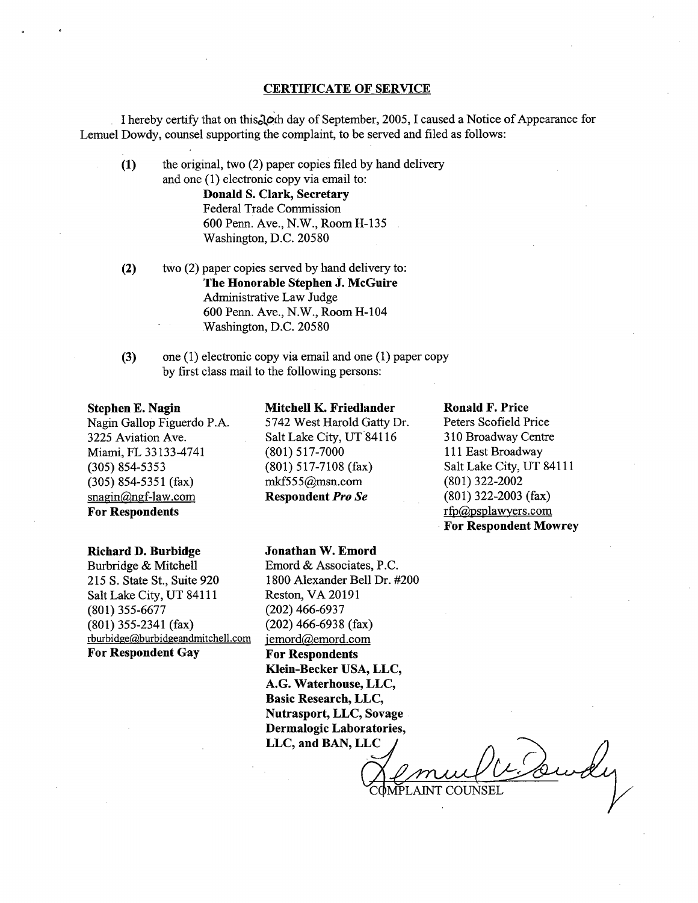### CERTIFICATE OF SERVICE

I hereby certify that on this  $\partial$  oth day of September, 2005, I caused a Notice of Appearance for Lemuel Dowdy, counsel supporting the complaint, to be served and filed as follows:

- the original, two (2) paper copies fied by hand delivery and one (1) electronic copy via email to: Donald S. Clark, Secretary Federal Trade Commission 600 Penn. Ave., N.W., Room H-135 Washington, D.C. 20580 (1)
- two (2) paper copies served by hand delivery to: The Honorable Stephen J. McGuire Administrative Law Judge 600 Penn. Ave., N.W., Room H-104 Washington, D.C. 20580 (2)
- (3) one (1) electronic copy via email and one (1) paper copy by first class mail to the following persons:

### Stephen E. Nagin

Nagin Gallop Figuerdo P. 3225 Aviation Ave. Miami, FL 33133-4741 (305) 854-5353 (305) 854-5351 (fax)  $snagin@ngf-law.com$ For Respondents

#### Richard D. Burbidge

Burbridge & Mitchell 215 S. State St., Suite 920 Salt Lake City, UT 84111 (801) 355-6677 (801) 355-2341 (fax) rburbidge@burbidgeandmitchell.com For Respondent Gay

## Mitchell K. Friedlander 5742 West Harold Gatty Dr. Salt Lake City, UT 84116 (801) 517-7000 (801) 517-7108 (fax)  $mkf555$ @msn.com Respondent Pro Se

Jonathan W. Emord Emord & Associates, P. 1800 Alexander Bell Dr. #200

Klein-Becker USA, LLC, A.G. Waterhouse, LLC, Basic Research, LLC, Nutrasport, LLC, Sovage

Reston, VA20191 (202) 466-6937 (202) 466-6938 (fax) jemord@emord.com For Respondents

Ronald F. Price

Peters Scofield Price 310 Broadway Centre 111 East Broadway Salt Lake City, UT 84111 (801) 322-2002 (801) 322-2003 (fax) rfp(apsplawyers.com For Respondent Mowrey

Dermalogic Laboratories, LLC, and BAN, LLC